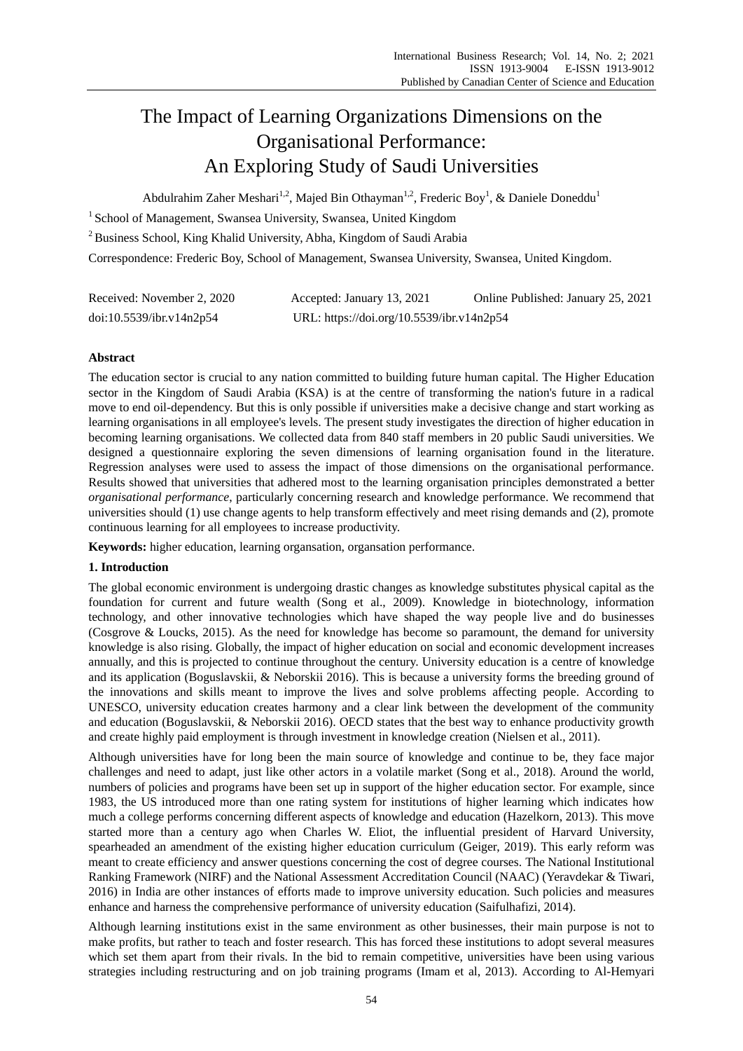# The Impact of Learning Organizations Dimensions on the Organisational Performance: An Exploring Study of Saudi Universities

Abdulrahim Zaher Meshari<sup>1,2</sup>, Majed Bin Othayman<sup>1,2</sup>, Frederic Boy<sup>1</sup>, & Daniele Doneddu<sup>1</sup>

<sup>1</sup> School of Management, Swansea University, Swansea, United Kingdom

<sup>2</sup> Business School, King Khalid University, Abha, Kingdom of Saudi Arabia

Correspondence: Frederic Boy, School of Management, Swansea University, Swansea, United Kingdom.

| Received: November 2, 2020 | Accepted: January 13, 2021                | Online Published: January 25, 2021 |
|----------------------------|-------------------------------------------|------------------------------------|
| doi:10.5539/ibr.v14n2p54   | URL: https://doi.org/10.5539/ibr.v14n2p54 |                                    |

# **Abstract**

The education sector is crucial to any nation committed to building future human capital. The Higher Education sector in the Kingdom of Saudi Arabia (KSA) is at the centre of transforming the nation's future in a radical move to end oil-dependency. But this is only possible if universities make a decisive change and start working as learning organisations in all employee's levels. The present study investigates the direction of higher education in becoming learning organisations. We collected data from 840 staff members in 20 public Saudi universities. We designed a questionnaire exploring the seven dimensions of learning organisation found in the literature. Regression analyses were used to assess the impact of those dimensions on the organisational performance. Results showed that universities that adhered most to the learning organisation principles demonstrated a better *organisational performance*, particularly concerning research and knowledge performance. We recommend that universities should (1) use change agents to help transform effectively and meet rising demands and (2), promote continuous learning for all employees to increase productivity.

**Keywords:** higher education, learning organsation, organsation performance.

# **1. Introduction**

The global economic environment is undergoing drastic changes as knowledge substitutes physical capital as the foundation for current and future wealth (Song et al., 2009). Knowledge in biotechnology, information technology, and other innovative technologies which have shaped the way people live and do businesses (Cosgrove & Loucks, 2015). As the need for knowledge has become so paramount, the demand for university knowledge is also rising. Globally, the impact of higher education on social and economic development increases annually, and this is projected to continue throughout the century. University education is a centre of knowledge and its application (Boguslavskii, & Neborskii 2016). This is because a university forms the breeding ground of the innovations and skills meant to improve the lives and solve problems affecting people. According to UNESCO, university education creates harmony and a clear link between the development of the community and education (Boguslavskii, & Neborskii 2016). OECD states that the best way to enhance productivity growth and create highly paid employment is through investment in knowledge creation (Nielsen et al., 2011).

Although universities have for long been the main source of knowledge and continue to be, they face major challenges and need to adapt, just like other actors in a volatile market (Song et al., 2018). Around the world, numbers of policies and programs have been set up in support of the higher education sector. For example, since 1983, the US introduced more than one rating system for institutions of higher learning which indicates how much a college performs concerning different aspects of knowledge and education (Hazelkorn, 2013). This move started more than a century ago when Charles W. Eliot, the influential president of Harvard University, spearheaded an amendment of the existing higher education curriculum (Geiger, 2019). This early reform was meant to create efficiency and answer questions concerning the cost of degree courses. The National Institutional Ranking Framework (NIRF) and the National Assessment Accreditation Council (NAAC) (Yeravdekar & Tiwari, 2016) in India are other instances of efforts made to improve university education. Such policies and measures enhance and harness the comprehensive performance of university education (Saifulhafizi, 2014).

Although learning institutions exist in the same environment as other businesses, their main purpose is not to make profits, but rather to teach and foster research. This has forced these institutions to adopt several measures which set them apart from their rivals. In the bid to remain competitive, universities have been using various strategies including restructuring and on job training programs (Imam et al, 2013). According to Al-Hemyari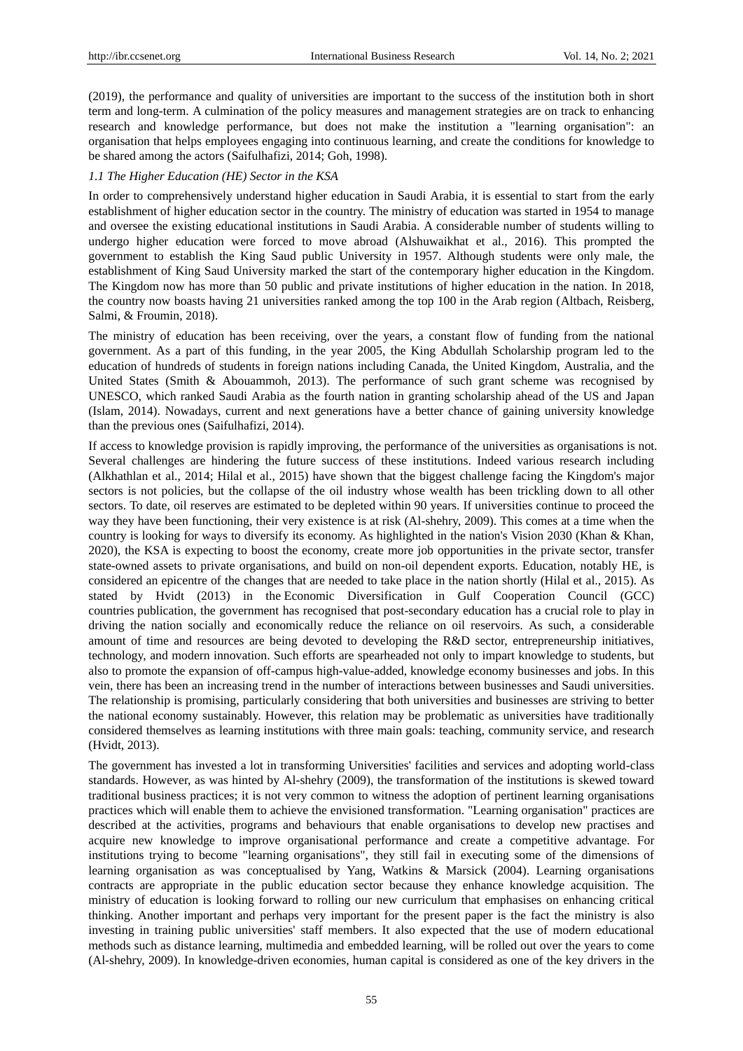(2019), the performance and quality of universities are important to the success of the institution both in short term and long-term. A culmination of the policy measures and management strategies are on track to enhancing research and knowledge performance, but does not make the institution a "learning organisation": an organisation that helps employees engaging into continuous learning, and create the conditions for knowledge to be shared among the actors (Saifulhafizi, 2014; Goh, 1998).

# *1.1 The Higher Education (HE) Sector in the KSA*

In order to comprehensively understand higher education in Saudi Arabia, it is essential to start from the early establishment of higher education sector in the country. The ministry of education was started in 1954 to manage and oversee the existing educational institutions in Saudi Arabia. A considerable number of students willing to undergo higher education were forced to move abroad (Alshuwaikhat et al., 2016). This prompted the government to establish the King Saud public University in 1957. Although students were only male, the establishment of King Saud University marked the start of the contemporary higher education in the Kingdom. The Kingdom now has more than 50 public and private institutions of higher education in the nation. In 2018, the country now boasts having 21 universities ranked among the top 100 in the Arab region (Altbach, Reisberg, Salmi, & Froumin, 2018).

The ministry of education has been receiving, over the years, a constant flow of funding from the national government. As a part of this funding, in the year 2005, the King Abdullah Scholarship program led to the education of hundreds of students in foreign nations including Canada, the United Kingdom, Australia, and the United States (Smith & Abouammoh, 2013). The performance of such grant scheme was recognised by UNESCO, which ranked Saudi Arabia as the fourth nation in granting scholarship ahead of the US and Japan (Islam, 2014). Nowadays, current and next generations have a better chance of gaining university knowledge than the previous ones (Saifulhafizi, 2014).

If access to knowledge provision is rapidly improving, the performance of the universities as organisations is not. Several challenges are hindering the future success of these institutions. Indeed various research including (Alkhathlan et al., 2014; Hilal et al., 2015) have shown that the biggest challenge facing the Kingdom's major sectors is not policies, but the collapse of the oil industry whose wealth has been trickling down to all other sectors. To date, oil reserves are estimated to be depleted within 90 years. If universities continue to proceed the way they have been functioning, their very existence is at risk (Al-shehry, 2009). This comes at a time when the country is looking for ways to diversify its economy. As highlighted in the nation's Vision 2030 (Khan & Khan, 2020), the KSA is expecting to boost the economy, create more job opportunities in the private sector, transfer state-owned assets to private organisations, and build on non-oil dependent exports. Education, notably HE, is considered an epicentre of the changes that are needed to take place in the nation shortly (Hilal et al., 2015). As stated by Hvidt (2013) in the Economic Diversification in Gulf Cooperation Council (GCC) countries publication, the government has recognised that post-secondary education has a crucial role to play in driving the nation socially and economically reduce the reliance on oil reservoirs. As such, a considerable amount of time and resources are being devoted to developing the R&D sector, entrepreneurship initiatives, technology, and modern innovation. Such efforts are spearheaded not only to impart knowledge to students, but also to promote the expansion of off-campus high-value-added, knowledge economy businesses and jobs. In this vein, there has been an increasing trend in the number of interactions between businesses and Saudi universities. The relationship is promising, particularly considering that both universities and businesses are striving to better the national economy sustainably. However, this relation may be problematic as universities have traditionally considered themselves as learning institutions with three main goals: teaching, community service, and research (Hvidt, 2013).

The government has invested a lot in transforming Universities' facilities and services and adopting world-class standards. However, as was hinted by Al-shehry (2009), the transformation of the institutions is skewed toward traditional business practices; it is not very common to witness the adoption of pertinent learning organisations practices which will enable them to achieve the envisioned transformation. "Learning organisation" practices are described at the activities, programs and behaviours that enable organisations to develop new practises and acquire new knowledge to improve organisational performance and create a competitive advantage. For institutions trying to become "learning organisations", they still fail in executing some of the dimensions of learning organisation as was conceptualised by Yang, Watkins & Marsick (2004). Learning organisations contracts are appropriate in the public education sector because they enhance knowledge acquisition. The ministry of education is looking forward to rolling our new curriculum that emphasises on enhancing critical thinking. Another important and perhaps very important for the present paper is the fact the ministry is also investing in training public universities' staff members. It also expected that the use of modern educational methods such as distance learning, multimedia and embedded learning, will be rolled out over the years to come (Al-shehry, 2009). In knowledge-driven economies, human capital is considered as one of the key drivers in the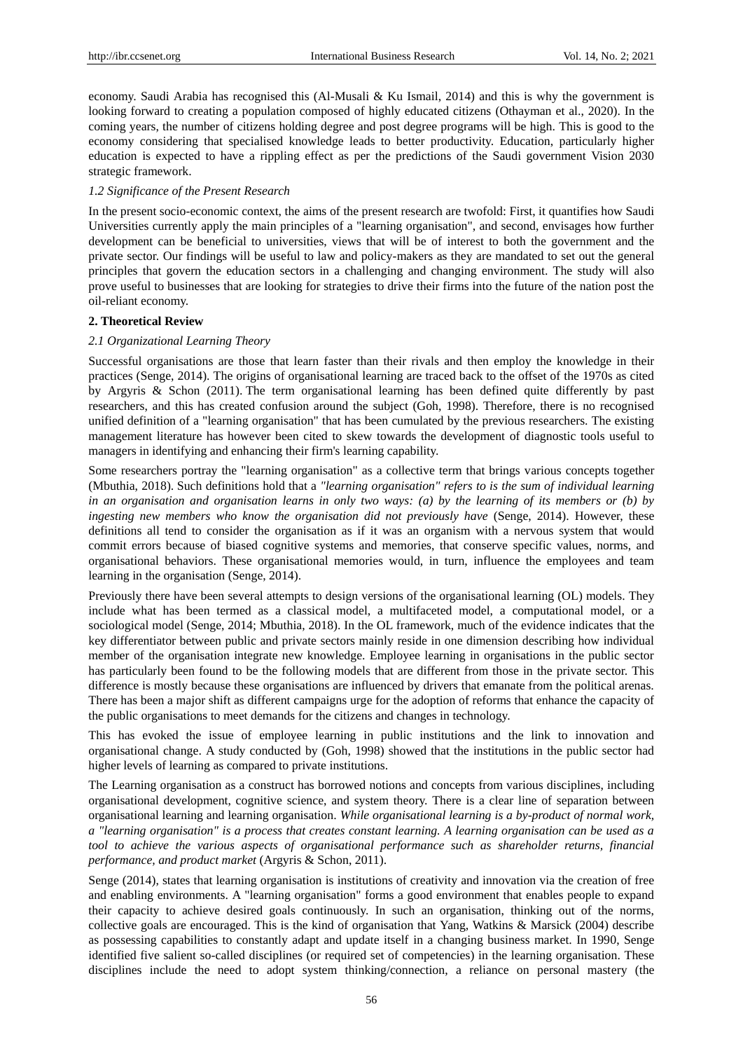economy. Saudi Arabia has recognised this (Al-Musali & Ku Ismail, 2014) and this is why the government is looking forward to creating a population composed of highly educated citizens (Othayman et al., 2020). In the coming years, the number of citizens holding degree and post degree programs will be high. This is good to the economy considering that specialised knowledge leads to better productivity. Education, particularly higher education is expected to have a rippling effect as per the predictions of the Saudi government Vision 2030 strategic framework.

# *1.2 Significance of the Present Research*

In the present socio-economic context, the aims of the present research are twofold: First, it quantifies how Saudi Universities currently apply the main principles of a "learning organisation", and second, envisages how further development can be beneficial to universities, views that will be of interest to both the government and the private sector. Our findings will be useful to law and policy-makers as they are mandated to set out the general principles that govern the education sectors in a challenging and changing environment. The study will also prove useful to businesses that are looking for strategies to drive their firms into the future of the nation post the oil-reliant economy.

# **2. Theoretical Review**

# *2.1 Organizational Learning Theory*

Successful organisations are those that learn faster than their rivals and then employ the knowledge in their practices (Senge, 2014). The origins of organisational learning are traced back to the offset of the 1970s as cited by Argyris & Schon (2011). The term organisational learning has been defined quite differently by past researchers, and this has created confusion around the subject (Goh, 1998). Therefore, there is no recognised unified definition of a "learning organisation" that has been cumulated by the previous researchers. The existing management literature has however been cited to skew towards the development of diagnostic tools useful to managers in identifying and enhancing their firm's learning capability.

Some researchers portray the "learning organisation" as a collective term that brings various concepts together (Mbuthia, 2018). Such definitions hold that a *"learning organisation" refers to is the sum of individual learning in an organisation and organisation learns in only two ways: (a) by the learning of its members or (b) by ingesting new members who know the organisation did not previously have* (Senge, 2014). However, these definitions all tend to consider the organisation as if it was an organism with a nervous system that would commit errors because of biased cognitive systems and memories, that conserve specific values, norms, and organisational behaviors. These organisational memories would, in turn, influence the employees and team learning in the organisation (Senge, 2014).

Previously there have been several attempts to design versions of the organisational learning (OL) models. They include what has been termed as a classical model, a multifaceted model, a computational model, or a sociological model (Senge, 2014; Mbuthia, 2018). In the OL framework, much of the evidence indicates that the key differentiator between public and private sectors mainly reside in one dimension describing how individual member of the organisation integrate new knowledge. Employee learning in organisations in the public sector has particularly been found to be the following models that are different from those in the private sector. This difference is mostly because these organisations are influenced by drivers that emanate from the political arenas. There has been a major shift as different campaigns urge for the adoption of reforms that enhance the capacity of the public organisations to meet demands for the citizens and changes in technology.

This has evoked the issue of employee learning in public institutions and the link to innovation and organisational change. A study conducted by (Goh, 1998) showed that the institutions in the public sector had higher levels of learning as compared to private institutions.

The Learning organisation as a construct has borrowed notions and concepts from various disciplines, including organisational development, cognitive science, and system theory. There is a clear line of separation between organisational learning and learning organisation. *While organisational learning is a by-product of normal work, a "learning organisation" is a process that creates constant learning. A learning organisation can be used as a tool to achieve the various aspects of organisational performance such as shareholder returns, financial performance, and product market* (Argyris & Schon, 2011).

Senge (2014), states that learning organisation is institutions of creativity and innovation via the creation of free and enabling environments. A "learning organisation" forms a good environment that enables people to expand their capacity to achieve desired goals continuously. In such an organisation, thinking out of the norms, collective goals are encouraged. This is the kind of organisation that Yang, Watkins & Marsick (2004) describe as possessing capabilities to constantly adapt and update itself in a changing business market. In 1990, Senge identified five salient so-called disciplines (or required set of competencies) in the learning organisation. These disciplines include the need to adopt system thinking/connection, a reliance on personal mastery (the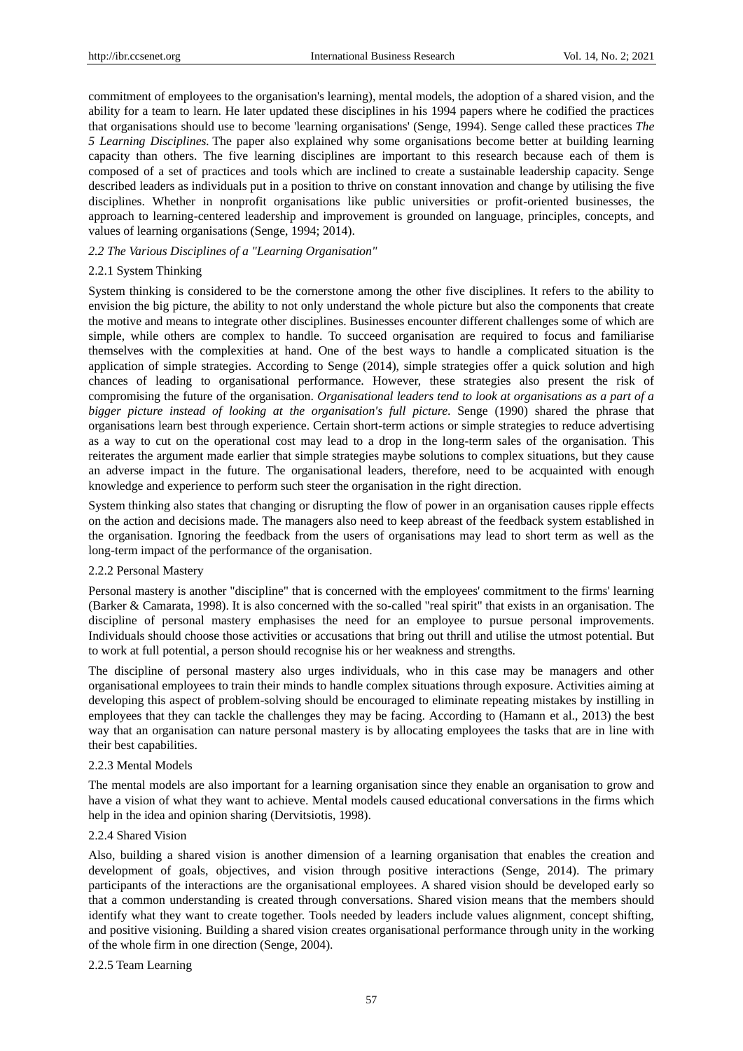commitment of employees to the organisation's learning), mental models, the adoption of a shared vision, and the ability for a team to learn. He later updated these disciplines in his 1994 papers where he codified the practices that organisations should use to become 'learning organisations' (Senge, 1994). Senge called these practices *The 5 Learning Disciplines.* The paper also explained why some organisations become better at building learning capacity than others. The five learning disciplines are important to this research because each of them is composed of a set of practices and tools which are inclined to create a sustainable leadership capacity. Senge described leaders as individuals put in a position to thrive on constant innovation and change by utilising the five disciplines. Whether in nonprofit organisations like public universities or profit-oriented businesses, the approach to learning-centered leadership and improvement is grounded on language, principles, concepts, and values of learning organisations (Senge, 1994; 2014).

# *2.2 The Various Disciplines of a "Learning Organisation"*

# 2.2.1 System Thinking

System thinking is considered to be the cornerstone among the other five disciplines. It refers to the ability to envision the big picture, the ability to not only understand the whole picture but also the components that create the motive and means to integrate other disciplines. Businesses encounter different challenges some of which are simple, while others are complex to handle. To succeed organisation are required to focus and familiarise themselves with the complexities at hand. One of the best ways to handle a complicated situation is the application of simple strategies. According to Senge (2014), simple strategies offer a quick solution and high chances of leading to organisational performance. However, these strategies also present the risk of compromising the future of the organisation. *Organisational leaders tend to look at organisations as a part of a bigger picture instead of looking at the organisation's full picture*. Senge (1990) shared the phrase that organisations learn best through experience. Certain short-term actions or simple strategies to reduce advertising as a way to cut on the operational cost may lead to a drop in the long-term sales of the organisation. This reiterates the argument made earlier that simple strategies maybe solutions to complex situations, but they cause an adverse impact in the future. The organisational leaders, therefore, need to be acquainted with enough knowledge and experience to perform such steer the organisation in the right direction.

System thinking also states that changing or disrupting the flow of power in an organisation causes ripple effects on the action and decisions made. The managers also need to keep abreast of the feedback system established in the organisation. Ignoring the feedback from the users of organisations may lead to short term as well as the long-term impact of the performance of the organisation.

### 2.2.2 Personal Mastery

Personal mastery is another "discipline" that is concerned with the employees' commitment to the firms' learning (Barker & Camarata, 1998). It is also concerned with the so-called "real spirit" that exists in an organisation. The discipline of personal mastery emphasises the need for an employee to pursue personal improvements. Individuals should choose those activities or accusations that bring out thrill and utilise the utmost potential. But to work at full potential, a person should recognise his or her weakness and strengths.

The discipline of personal mastery also urges individuals, who in this case may be managers and other organisational employees to train their minds to handle complex situations through exposure. Activities aiming at developing this aspect of problem-solving should be encouraged to eliminate repeating mistakes by instilling in employees that they can tackle the challenges they may be facing. According to (Hamann et al., 2013) the best way that an organisation can nature personal mastery is by allocating employees the tasks that are in line with their best capabilities.

### 2.2.3 Mental Models

The mental models are also important for a learning organisation since they enable an organisation to grow and have a vision of what they want to achieve. Mental models caused educational conversations in the firms which help in the idea and opinion sharing (Dervitsiotis, 1998).

### 2.2.4 Shared Vision

Also, building a shared vision is another dimension of a learning organisation that enables the creation and development of goals, objectives, and vision through positive interactions (Senge, 2014). The primary participants of the interactions are the organisational employees. A shared vision should be developed early so that a common understanding is created through conversations. Shared vision means that the members should identify what they want to create together. Tools needed by leaders include values alignment, concept shifting, and positive visioning. Building a shared vision creates organisational performance through unity in the working of the whole firm in one direction (Senge, 2004).

### 2.2.5 Team Learning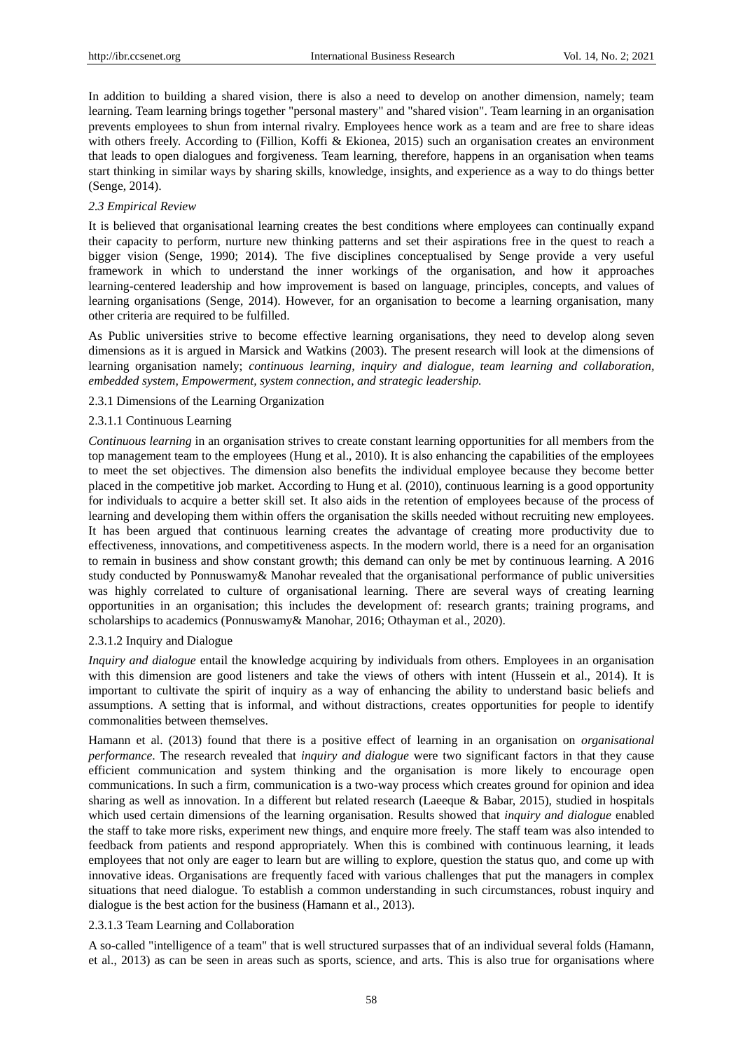In addition to building a shared vision, there is also a need to develop on another dimension, namely; team learning. Team learning brings together "personal mastery" and "shared vision". Team learning in an organisation prevents employees to shun from internal rivalry. Employees hence work as a team and are free to share ideas with others freely. According to (Fillion, Koffi & Ekionea, 2015) such an organisation creates an environment that leads to open dialogues and forgiveness. Team learning, therefore, happens in an organisation when teams start thinking in similar ways by sharing skills, knowledge, insights, and experience as a way to do things better (Senge, 2014).

# *2.3 Empirical Review*

It is believed that organisational learning creates the best conditions where employees can continually expand their capacity to perform, nurture new thinking patterns and set their aspirations free in the quest to reach a bigger vision (Senge, 1990; 2014). The five disciplines conceptualised by Senge provide a very useful framework in which to understand the inner workings of the organisation, and how it approaches learning-centered leadership and how improvement is based on language, principles, concepts, and values of learning organisations (Senge, 2014). However, for an organisation to become a learning organisation, many other criteria are required to be fulfilled.

As Public universities strive to become effective learning organisations, they need to develop along seven dimensions as it is argued in Marsick and Watkins (2003). The present research will look at the dimensions of learning organisation namely; *continuous learning, inquiry and dialogue, team learning and collaboration, embedded system, Empowerment, system connection, and strategic leadership.* 

# 2.3.1 Dimensions of the Learning Organization

# 2.3.1.1 Continuous Learning

*Continuous learning* in an organisation strives to create constant learning opportunities for all members from the top management team to the employees (Hung et al., 2010). It is also enhancing the capabilities of the employees to meet the set objectives. The dimension also benefits the individual employee because they become better placed in the competitive job market. According to Hung et al. (2010), continuous learning is a good opportunity for individuals to acquire a better skill set. It also aids in the retention of employees because of the process of learning and developing them within offers the organisation the skills needed without recruiting new employees. It has been argued that continuous learning creates the advantage of creating more productivity due to effectiveness, innovations, and competitiveness aspects. In the modern world, there is a need for an organisation to remain in business and show constant growth; this demand can only be met by continuous learning. A 2016 study conducted by Ponnuswamy& Manohar revealed that the organisational performance of public universities was highly correlated to culture of organisational learning. There are several ways of creating learning opportunities in an organisation; this includes the development of: research grants; training programs, and scholarships to academics (Ponnuswamy& Manohar, 2016; Othayman et al., 2020).

# 2.3.1.2 Inquiry and Dialogue

*Inquiry and dialogue* entail the knowledge acquiring by individuals from others. Employees in an organisation with this dimension are good listeners and take the views of others with intent (Hussein et al., 2014). It is important to cultivate the spirit of inquiry as a way of enhancing the ability to understand basic beliefs and assumptions. A setting that is informal, and without distractions, creates opportunities for people to identify commonalities between themselves.

Hamann et al. (2013) found that there is a positive effect of learning in an organisation on *organisational performance*. The research revealed that *inquiry and dialogue* were two significant factors in that they cause efficient communication and system thinking and the organisation is more likely to encourage open communications. In such a firm, communication is a two-way process which creates ground for opinion and idea sharing as well as innovation. In a different but related research (Laeeque & Babar, 2015), studied in hospitals which used certain dimensions of the learning organisation. Results showed that *inquiry and dialogue* enabled the staff to take more risks, experiment new things, and enquire more freely. The staff team was also intended to feedback from patients and respond appropriately. When this is combined with continuous learning, it leads employees that not only are eager to learn but are willing to explore, question the status quo, and come up with innovative ideas. Organisations are frequently faced with various challenges that put the managers in complex situations that need dialogue. To establish a common understanding in such circumstances, robust inquiry and dialogue is the best action for the business (Hamann et al., 2013).

### 2.3.1.3 Team Learning and Collaboration

A so-called "intelligence of a team" that is well structured surpasses that of an individual several folds (Hamann, et al., 2013) as can be seen in areas such as sports, science, and arts. This is also true for organisations where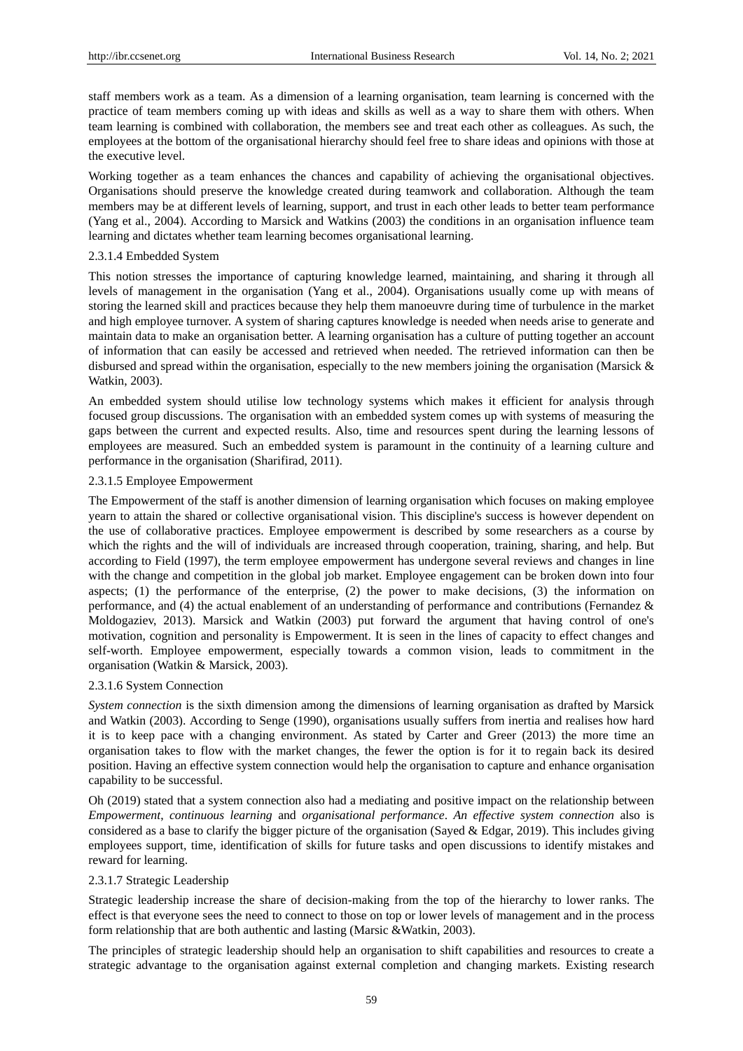staff members work as a team. As a dimension of a learning organisation, team learning is concerned with the practice of team members coming up with ideas and skills as well as a way to share them with others. When team learning is combined with collaboration, the members see and treat each other as colleagues. As such, the employees at the bottom of the organisational hierarchy should feel free to share ideas and opinions with those at the executive level.

Working together as a team enhances the chances and capability of achieving the organisational objectives. Organisations should preserve the knowledge created during teamwork and collaboration. Although the team members may be at different levels of learning, support, and trust in each other leads to better team performance (Yang et al., 2004). According to Marsick and Watkins (2003) the conditions in an organisation influence team learning and dictates whether team learning becomes organisational learning.

### 2.3.1.4 Embedded System

This notion stresses the importance of capturing knowledge learned, maintaining, and sharing it through all levels of management in the organisation (Yang et al., 2004). Organisations usually come up with means of storing the learned skill and practices because they help them manoeuvre during time of turbulence in the market and high employee turnover. A system of sharing captures knowledge is needed when needs arise to generate and maintain data to make an organisation better. A learning organisation has a culture of putting together an account of information that can easily be accessed and retrieved when needed. The retrieved information can then be disbursed and spread within the organisation, especially to the new members joining the organisation (Marsick & Watkin, 2003).

An embedded system should utilise low technology systems which makes it efficient for analysis through focused group discussions. The organisation with an embedded system comes up with systems of measuring the gaps between the current and expected results. Also, time and resources spent during the learning lessons of employees are measured. Such an embedded system is paramount in the continuity of a learning culture and performance in the organisation (Sharifirad, 2011).

# 2.3.1.5 Employee Empowerment

The Empowerment of the staff is another dimension of learning organisation which focuses on making employee yearn to attain the shared or collective organisational vision. This discipline's success is however dependent on the use of collaborative practices. Employee empowerment is described by some researchers as a course by which the rights and the will of individuals are increased through cooperation, training, sharing, and help. But according to Field (1997), the term employee empowerment has undergone several reviews and changes in line with the change and competition in the global job market. Employee engagement can be broken down into four aspects; (1) the performance of the enterprise, (2) the power to make decisions, (3) the information on performance, and (4) the actual enablement of an understanding of performance and contributions (Fernandez & Moldogaziev, 2013). Marsick and Watkin (2003) put forward the argument that having control of one's motivation, cognition and personality is Empowerment. It is seen in the lines of capacity to effect changes and self-worth. Employee empowerment, especially towards a common vision, leads to commitment in the organisation (Watkin & Marsick, 2003).

# 2.3.1.6 System Connection

*System connection* is the sixth dimension among the dimensions of learning organisation as drafted by Marsick and Watkin (2003). According to Senge (1990), organisations usually suffers from inertia and realises how hard it is to keep pace with a changing environment. As stated by Carter and Greer (2013) the more time an organisation takes to flow with the market changes, the fewer the option is for it to regain back its desired position. Having an effective system connection would help the organisation to capture and enhance organisation capability to be successful.

Oh (2019) stated that a system connection also had a mediating and positive impact on the relationship between *Empowerment*, *continuous learning* and *organisational performance*. *An effective system connection* also is considered as a base to clarify the bigger picture of the organisation (Sayed & Edgar, 2019). This includes giving employees support, time, identification of skills for future tasks and open discussions to identify mistakes and reward for learning.

# 2.3.1.7 Strategic Leadership

Strategic leadership increase the share of decision-making from the top of the hierarchy to lower ranks. The effect is that everyone sees the need to connect to those on top or lower levels of management and in the process form relationship that are both authentic and lasting (Marsic &Watkin, 2003).

The principles of strategic leadership should help an organisation to shift capabilities and resources to create a strategic advantage to the organisation against external completion and changing markets. Existing research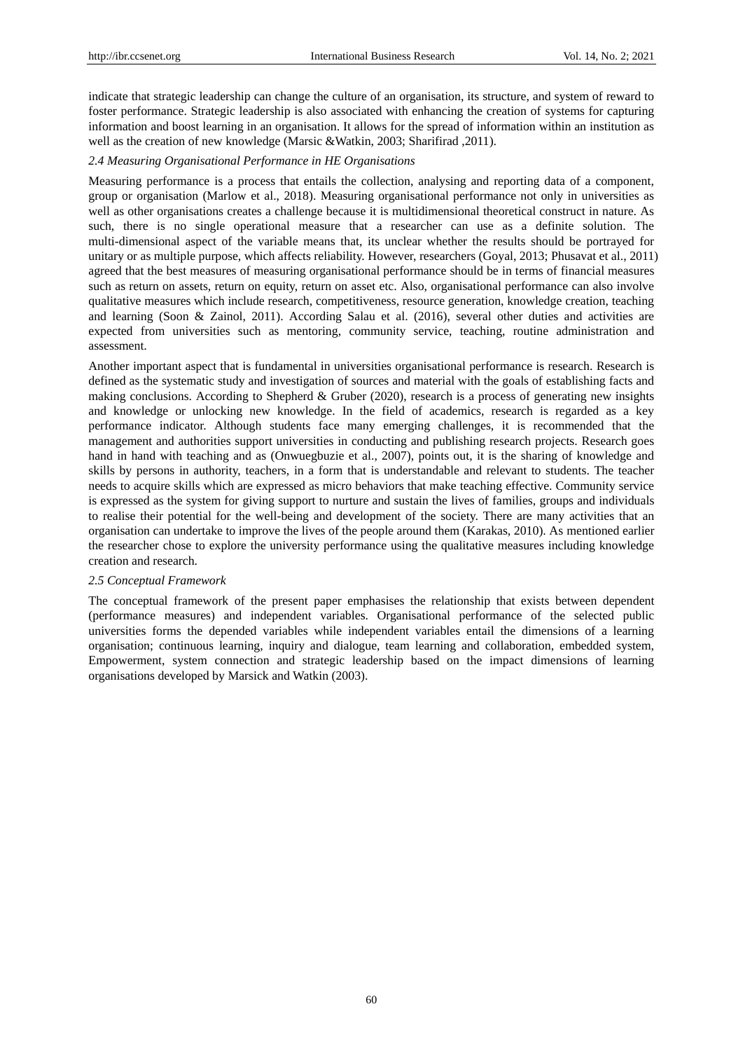indicate that strategic leadership can change the culture of an organisation, its structure, and system of reward to foster performance. Strategic leadership is also associated with enhancing the creation of systems for capturing information and boost learning in an organisation. It allows for the spread of information within an institution as well as the creation of new knowledge (Marsic &Watkin, 2003; Sharifirad ,2011).

# *2.4 Measuring Organisational Performance in HE Organisations*

Measuring performance is a process that entails the collection, analysing and reporting data of a component, group or organisation (Marlow et al., 2018). Measuring organisational performance not only in universities as well as other organisations creates a challenge because it is multidimensional theoretical construct in nature. As such, there is no single operational measure that a researcher can use as a definite solution. The multi-dimensional aspect of the variable means that, its unclear whether the results should be portrayed for unitary or as multiple purpose, which affects reliability. However, researchers (Goyal, 2013; Phusavat et al., 2011) agreed that the best measures of measuring organisational performance should be in terms of financial measures such as return on assets, return on equity, return on asset etc. Also, organisational performance can also involve qualitative measures which include research, competitiveness, resource generation, knowledge creation, teaching and learning (Soon & Zainol, 2011). According Salau et al. (2016), several other duties and activities are expected from universities such as mentoring, community service, teaching, routine administration and assessment.

Another important aspect that is fundamental in universities organisational performance is research. Research is defined as the systematic study and investigation of sources and material with the goals of establishing facts and making conclusions. According to Shepherd & Gruber (2020), research is a process of generating new insights and knowledge or unlocking new knowledge. In the field of academics, research is regarded as a key performance indicator. Although students face many emerging challenges, it is recommended that the management and authorities support universities in conducting and publishing research projects. Research goes hand in hand with teaching and as (Onwuegbuzie et al., 2007), points out, it is the sharing of knowledge and skills by persons in authority, teachers, in a form that is understandable and relevant to students. The teacher needs to acquire skills which are expressed as micro behaviors that make teaching effective. Community service is expressed as the system for giving support to nurture and sustain the lives of families, groups and individuals to realise their potential for the well-being and development of the society. There are many activities that an organisation can undertake to improve the lives of the people around them (Karakas, 2010). As mentioned earlier the researcher chose to explore the university performance using the qualitative measures including knowledge creation and research.

### *2.5 Conceptual Framework*

The conceptual framework of the present paper emphasises the relationship that exists between dependent (performance measures) and independent variables. Organisational performance of the selected public universities forms the depended variables while independent variables entail the dimensions of a learning organisation; continuous learning, inquiry and dialogue, team learning and collaboration, embedded system, Empowerment, system connection and strategic leadership based on the impact dimensions of learning organisations developed by Marsick and Watkin (2003).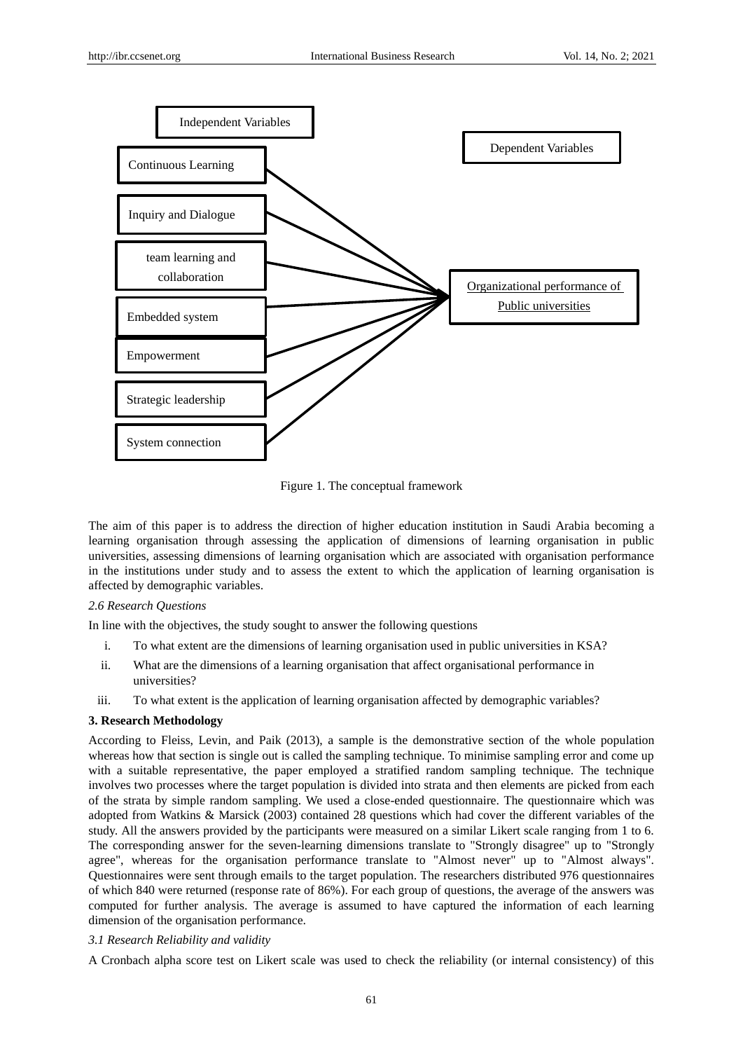

Figure 1. The conceptual framework

The aim of this paper is to address the direction of higher education institution in Saudi Arabia becoming a learning organisation through assessing the application of dimensions of learning organisation in public universities, assessing dimensions of learning organisation which are associated with organisation performance in the institutions under study and to assess the extent to which the application of learning organisation is affected by demographic variables.

# *2.6 Research Questions*

In line with the objectives, the study sought to answer the following questions

- i. To what extent are the dimensions of learning organisation used in public universities in KSA?
- ii. What are the dimensions of a learning organisation that affect organisational performance in universities?
- iii. To what extent is the application of learning organisation affected by demographic variables?

# **3. Research Methodology**

According to Fleiss, Levin, and Paik (2013), a sample is the demonstrative section of the whole population whereas how that section is single out is called the sampling technique. To minimise sampling error and come up with a suitable representative, the paper employed a stratified random sampling technique. The technique involves two processes where the target population is divided into strata and then elements are picked from each of the strata by simple random sampling. We used a close-ended questionnaire. The questionnaire which was adopted from Watkins & Marsick (2003) contained 28 questions which had cover the different variables of the study. All the answers provided by the participants were measured on a similar Likert scale ranging from 1 to 6. The corresponding answer for the seven-learning dimensions translate to "Strongly disagree" up to "Strongly agree", whereas for the organisation performance translate to "Almost never" up to "Almost always". Questionnaires were sent through emails to the target population. The researchers distributed 976 questionnaires of which 840 were returned (response rate of 86%). For each group of questions, the average of the answers was computed for further analysis. The average is assumed to have captured the information of each learning dimension of the organisation performance.

# *3.1 Research Reliability and validity*

A Cronbach alpha score test on Likert scale was used to check the reliability (or internal consistency) of this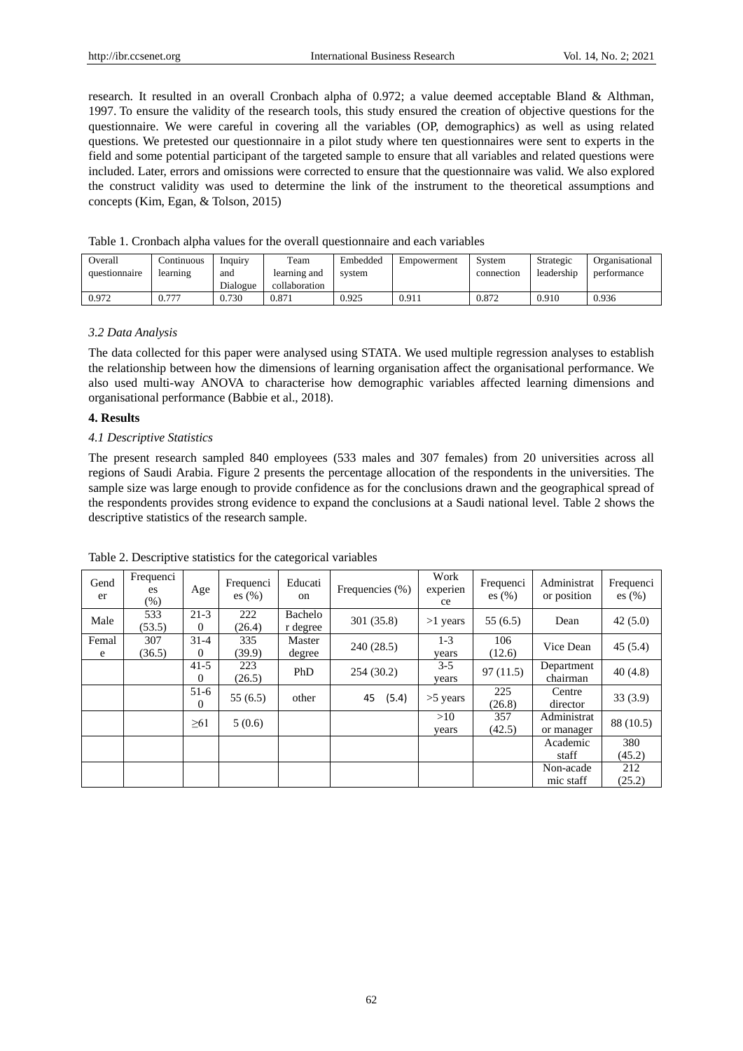research. It resulted in an overall Cronbach alpha of 0.972; a value deemed acceptable Bland & Althman, 1997. To ensure the validity of the research tools, this study ensured the creation of objective questions for the questionnaire. We were careful in covering all the variables (OP, demographics) as well as using related questions. We pretested our questionnaire in a pilot study where ten questionnaires were sent to experts in the field and some potential participant of the targeted sample to ensure that all variables and related questions were included. Later, errors and omissions were corrected to ensure that the questionnaire was valid. We also explored the construct validity was used to determine the link of the instrument to the theoretical assumptions and concepts (Kim, Egan, & Tolson, 2015)

| Overall       | Continuous | Inquiry  | Team          | Embedded | Empowerment | System     | Strategic  | Organisational |
|---------------|------------|----------|---------------|----------|-------------|------------|------------|----------------|
| questionnaire | learning   | and      | learning and  | system   |             | connection | leadership | performance    |
|               |            | Dialogue | collaboration |          |             |            |            |                |
| 0.972         | $0.77^{-}$ | 0.730    | 0.871         | 0.925    | 0.911       | 0.872      | 0.910      | 0.936          |

|  |  | Table 1. Cronbach alpha values for the overall questionnaire and each variables |
|--|--|---------------------------------------------------------------------------------|
|--|--|---------------------------------------------------------------------------------|

#### *3.2 Data Analysis*

The data collected for this paper were analysed using STATA. We used multiple regression analyses to establish the relationship between how the dimensions of learning organisation affect the organisational performance. We also used multi-way ANOVA to characterise how demographic variables affected learning dimensions and organisational performance (Babbie et al., 2018).

# **4. Results**

#### *4.1 Descriptive Statistics*

The present research sampled 840 employees (533 males and 307 females) from 20 universities across all regions of Saudi Arabia. Figure 2 presents the percentage allocation of the respondents in the universities. The sample size was large enough to provide confidence as for the conclusions drawn and the geographical spread of the respondents provides strong evidence to expand the conclusions at a Saudi national level. Table 2 shows the descriptive statistics of the research sample.

| Gend<br>er | Frequenci<br>es<br>$(\%)$ | Age                  | Frequenci<br>es $(\% )$ | Educati<br>on       | Frequencies (%) | Work<br>experien<br>ce | Frequenci<br>es $(\% )$ | Administrat<br>or position | Frequenci<br>es $(\% )$ |
|------------|---------------------------|----------------------|-------------------------|---------------------|-----------------|------------------------|-------------------------|----------------------------|-------------------------|
| Male       | 533<br>(53.5)             | $21-3$<br>$\Omega$   | 222<br>(26.4)           | Bachelo<br>r degree | 301 (35.8)      | $>1$ years             | 55(6.5)                 | Dean                       | 42(5.0)                 |
| Femal<br>e | 307<br>(36.5)             | $31 - 4$<br>$\Omega$ | 335<br>(39.9)           | Master<br>degree    | 240 (28.5)      | $1-3$<br>years         | 106<br>(12.6)           | Vice Dean                  | 45(5.4)                 |
|            |                           | $41-5$<br>$\Omega$   | 223<br>(26.5)           | PhD                 | 254(30.2)       | $3 - 5$<br>vears       | 97(11.5)                | Department<br>chairman     | 40(4.8)                 |
|            |                           | $51-6$<br>$\Omega$   | 55(6.5)                 | other               | 45<br>(5.4)     | $>5$ years             | 225<br>(26.8)           | Centre<br>director         | 33(3.9)                 |
|            |                           | $\geq 61$            | 5(0.6)                  |                     |                 | >10<br>years           | 357<br>(42.5)           | Administrat<br>or manager  | 88 (10.5)               |
|            |                           |                      |                         |                     |                 |                        |                         | Academic<br>staff          | 380<br>(45.2)           |
|            |                           |                      |                         |                     |                 |                        |                         | Non-acade<br>mic staff     | 212<br>(25.2)           |

Table 2. Descriptive statistics for the categorical variables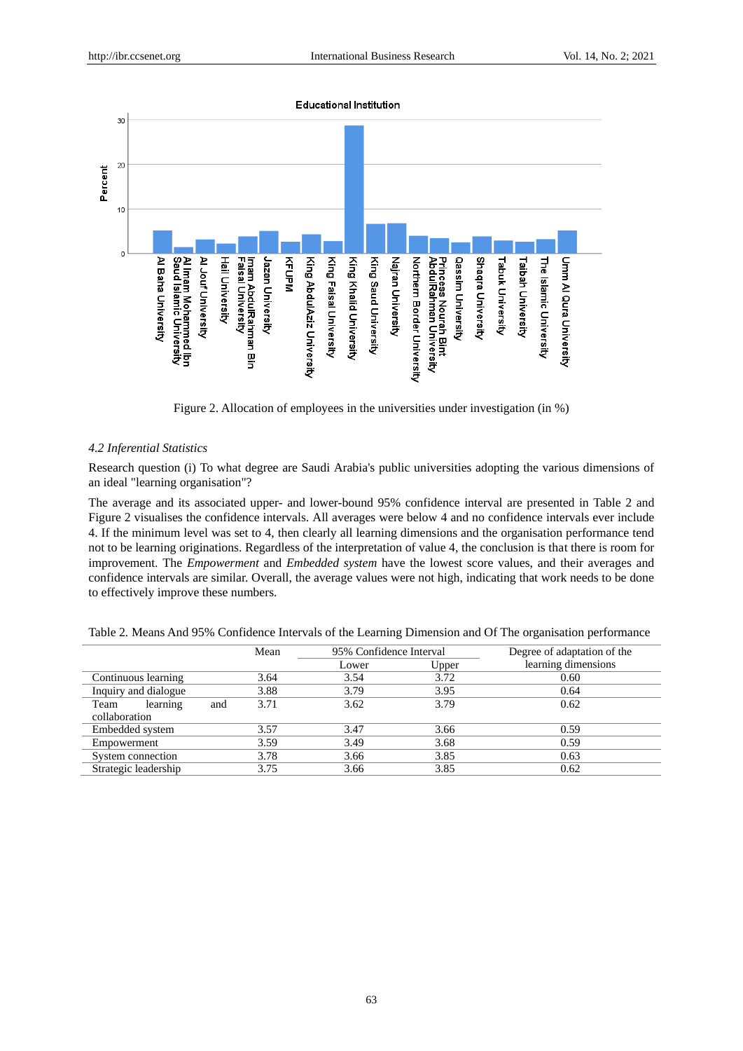

Figure 2. Allocation of employees in the universities under investigation (in %)

# *4.2 Inferential Statistics*

Research question (i) To what degree are Saudi Arabia's public universities adopting the various dimensions of an ideal "learning organisation"?

The average and its associated upper- and lower-bound 95% confidence interval are presented in Table 2 and Figure 2 visualises the confidence intervals. All averages were below 4 and no confidence intervals ever include 4. If the minimum level was set to 4, then clearly all learning dimensions and the organisation performance tend not to be learning originations. Regardless of the interpretation of value 4, the conclusion is that there is room for improvement. The *Empowerment* and *Embedded system* have the lowest score values, and their averages and confidence intervals are similar. Overall, the average values were not high, indicating that work needs to be done to effectively improve these numbers.

| Table 2. Means And 95% Confidence Intervals of the Learning Dimension and Of The organisation performance |                         |                                 |
|-----------------------------------------------------------------------------------------------------------|-------------------------|---------------------------------|
| Mean                                                                                                      | 95% Confidence Interval | Degree of adaptation of the     |
|                                                                                                           |                         | The constant of the constant of |

|                      |     | Mean | 95% Confidence Interval |       | Degree of adaptation of the |
|----------------------|-----|------|-------------------------|-------|-----------------------------|
|                      |     |      | Lower                   | Upper | learning dimensions         |
| Continuous learning  |     | 3.64 | 3.54                    | 3.72  | 0.60                        |
| Inquiry and dialogue |     | 3.88 | 3.79                    | 3.95  | 0.64                        |
| Team<br>learning     | and | 3.71 | 3.62                    | 3.79  | 0.62                        |
| collaboration        |     |      |                         |       |                             |
| Embedded system      |     | 3.57 | 3.47                    | 3.66  | 0.59                        |
| Empowerment          |     | 3.59 | 3.49                    | 3.68  | 0.59                        |
| System connection    |     | 3.78 | 3.66                    | 3.85  | 0.63                        |
| Strategic leadership |     | 3.75 | 3.66                    | 3.85  | 0.62                        |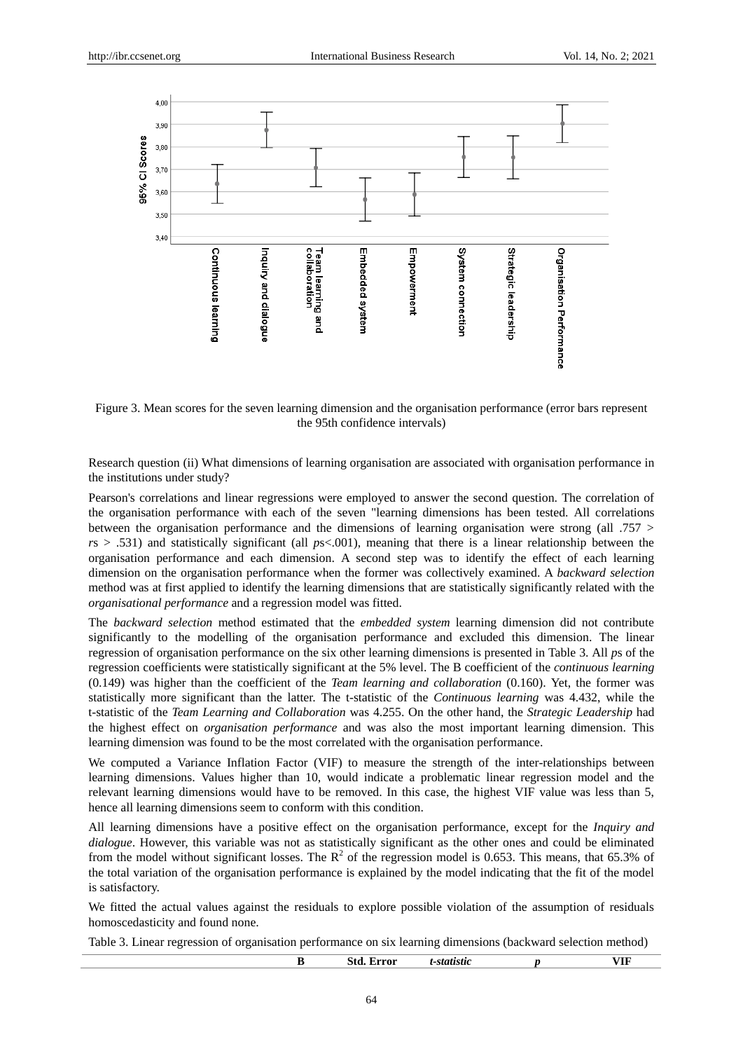

Figure 3. Mean scores for the seven learning dimension and the organisation performance (error bars represent the 95th confidence intervals)

Research question (ii) What dimensions of learning organisation are associated with organisation performance in the institutions under study?

Pearson's correlations and linear regressions were employed to answer the second question. The correlation of the organisation performance with each of the seven "learning dimensions has been tested. All correlations between the organisation performance and the dimensions of learning organisation were strong (all  $.757 >$  $r s > .531$ ) and statistically significant (all  $p s < .001$ ), meaning that there is a linear relationship between the organisation performance and each dimension. A second step was to identify the effect of each learning dimension on the organisation performance when the former was collectively examined. A *backward selection*  method was at first applied to identify the learning dimensions that are statistically significantly related with the *organisational performance* and a regression model was fitted.

The *backward selection* method estimated that the *embedded system* learning dimension did not contribute significantly to the modelling of the organisation performance and excluded this dimension. The linear regression of organisation performance on the six other learning dimensions is presented in Table 3. All *p*s of the regression coefficients were statistically significant at the 5% level. The B coefficient of the *continuous learning* (0.149) was higher than the coefficient of the *Team learning and collaboration* (0.160). Yet, the former was statistically more significant than the latter. The t-statistic of the *Continuous learning* was 4.432, while the t-statistic of the *Team Learning and Collaboration* was 4.255. On the other hand, the *Strategic Leadership* had the highest effect on *organisation performance* and was also the most important learning dimension. This learning dimension was found to be the most correlated with the organisation performance.

We computed a Variance Inflation Factor (VIF) to measure the strength of the inter-relationships between learning dimensions. Values higher than 10, would indicate a problematic linear regression model and the relevant learning dimensions would have to be removed. In this case, the highest VIF value was less than 5, hence all learning dimensions seem to conform with this condition.

All learning dimensions have a positive effect on the organisation performance, except for the *Inquiry and dialogue*. However, this variable was not as statistically significant as the other ones and could be eliminated from the model without significant losses. The  $R^2$  of the regression model is 0.653. This means, that 65.3% of the total variation of the organisation performance is explained by the model indicating that the fit of the model is satisfactory.

We fitted the actual values against the residuals to explore possible violation of the assumption of residuals homoscedasticity and found none.

Table 3. Linear regression of organisation performance on six learning dimensions (backward selection method)

|  | Error<br>Sta. | utistic<br>t-ste<br>. | ⁄ІF |
|--|---------------|-----------------------|-----|
|  |               |                       |     |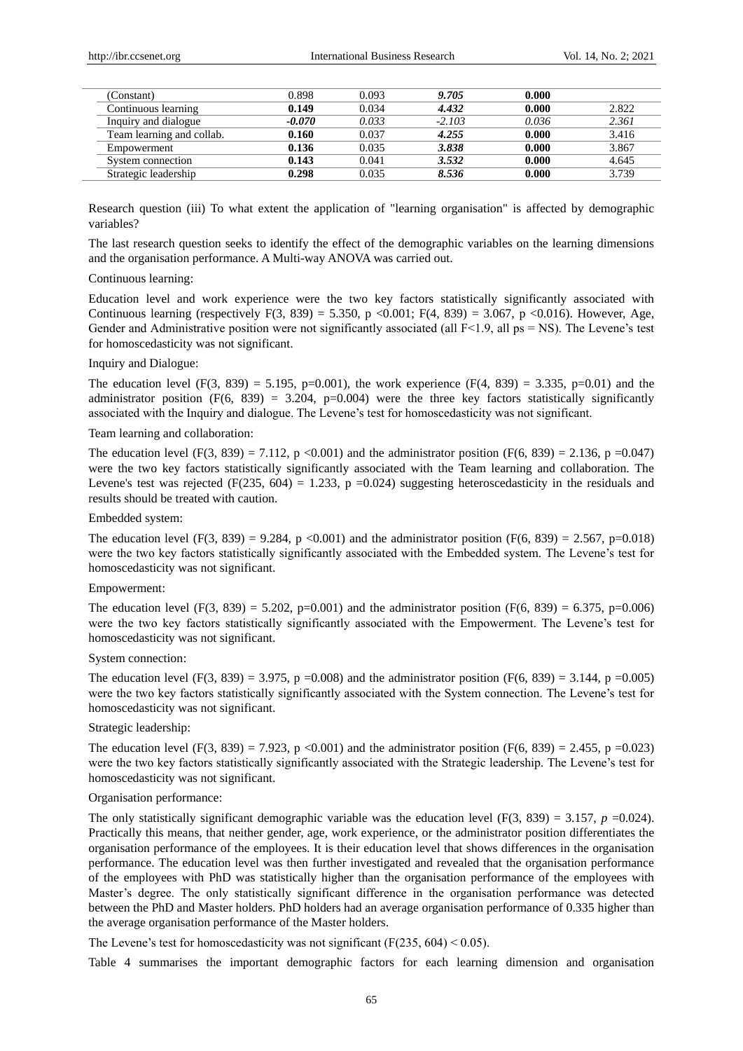| (Constant)                | 0.898    | 0.093 | 9.705    | 0.000 |       |
|---------------------------|----------|-------|----------|-------|-------|
| Continuous learning       | 0.149    | 0.034 | 4.432    | 0.000 | 2.822 |
| Inquiry and dialogue      | $-0.070$ | 0.033 | $-2.103$ | 0.036 | 2.361 |
| Team learning and collab. | 0.160    | 0.037 | 4.255    | 0.000 | 3.416 |
| Empowerment               | 0.136    | 0.035 | 3.838    | 0.000 | 3.867 |
| System connection         | 0.143    | 0.041 | 3.532    | 0.000 | 4.645 |
| Strategic leadership      | 0.298    | 0.035 | 8.536    | 0.000 | 3.739 |
|                           |          |       |          |       |       |

Research question (iii) To what extent the application of "learning organisation" is affected by demographic variables?

The last research question seeks to identify the effect of the demographic variables on the learning dimensions and the organisation performance. A Multi-way ANOVA was carried out.

### Continuous learning:

Education level and work experience were the two key factors statistically significantly associated with Continuous learning (respectively F(3, 839) = 5.350, p <0.001; F(4, 839) = 3.067, p <0.016). However, Age, Gender and Administrative position were not significantly associated (all  $F<1.9$ , all ps = NS). The Levene's test for homoscedasticity was not significant.

### Inquiry and Dialogue:

The education level (F(3, 839) = 5.195, p=0.001), the work experience (F(4, 839) = 3.335, p=0.01) and the administrator position  $(F(6, 839) = 3.204, p=0.004)$  were the three key factors statistically significantly associated with the Inquiry and dialogue. The Levene's test for homoscedasticity was not significant.

### Team learning and collaboration:

The education level (F(3, 839) = 7.112, p <0.001) and the administrator position (F(6, 839) = 2.136, p = 0.047) were the two key factors statistically significantly associated with the Team learning and collaboration. The Levene's test was rejected (F(235, 604) = 1.233, p = 0.024) suggesting heteroscedasticity in the residuals and results should be treated with caution.

#### Embedded system:

The education level  $(F(3, 839) = 9.284, p \le 0.001)$  and the administrator position  $(F(6, 839) = 2.567, p=0.018)$ were the two key factors statistically significantly associated with the Embedded system. The Levene's test for homoscedasticity was not significant.

### Empowerment:

The education level (F(3, 839) = 5.202, p=0.001) and the administrator position (F(6, 839) = 6.375, p=0.006) were the two key factors statistically significantly associated with the Empowerment. The Levene's test for homoscedasticity was not significant.

#### System connection:

The education level (F(3, 839) = 3.975, p = 0.008) and the administrator position (F(6, 839) = 3.144, p = 0.005) were the two key factors statistically significantly associated with the System connection. The Levene's test for homoscedasticity was not significant.

### Strategic leadership:

The education level (F(3, 839) = 7.923, p <0.001) and the administrator position (F(6, 839) = 2.455, p = 0.023) were the two key factors statistically significantly associated with the Strategic leadership. The Levene's test for homoscedasticity was not significant.

# Organisation performance:

The only statistically significant demographic variable was the education level (F(3, 839) = 3.157,  $p = 0.024$ ). Practically this means, that neither gender, age, work experience, or the administrator position differentiates the organisation performance of the employees. It is their education level that shows differences in the organisation performance. The education level was then further investigated and revealed that the organisation performance of the employees with PhD was statistically higher than the organisation performance of the employees with Master's degree. The only statistically significant difference in the organisation performance was detected between the PhD and Master holders. PhD holders had an average organisation performance of 0.335 higher than the average organisation performance of the Master holders.

The Levene's test for homoscedasticity was not significant ( $F(235, 604) < 0.05$ ).

Table 4 summarises the important demographic factors for each learning dimension and organisation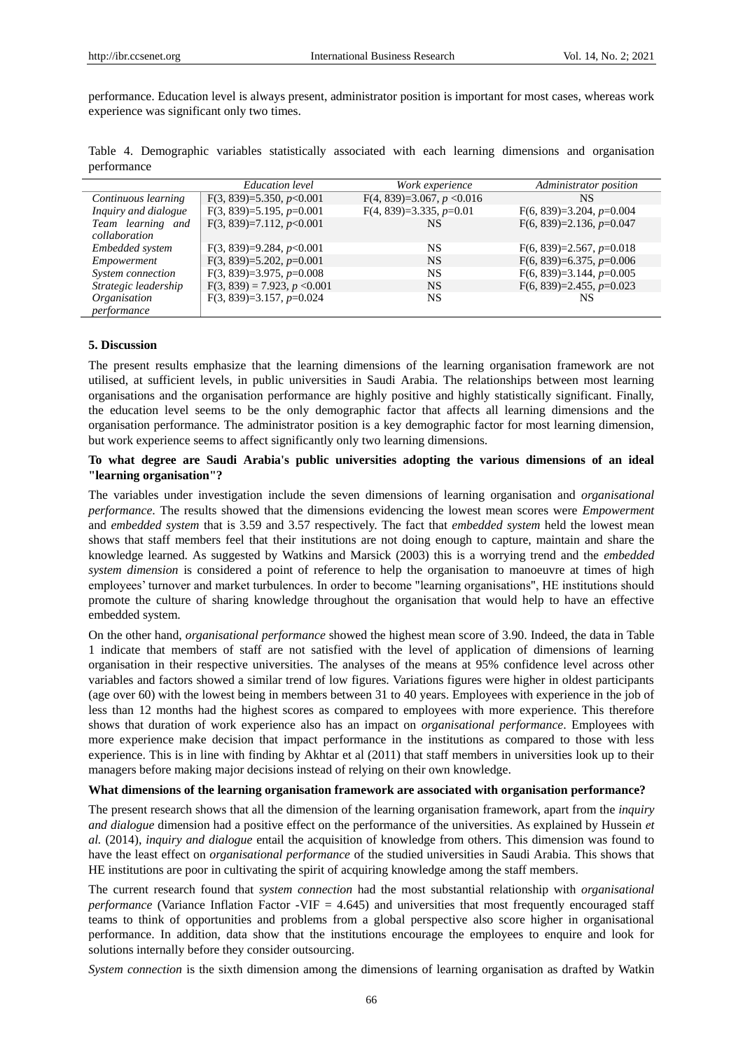performance. Education level is always present, administrator position is important for most cases, whereas work experience was significant only two times.

|             | Table 4. Demographic variables statistically associated with each learning dimensions and organisation |  |  |  |  |  |
|-------------|--------------------------------------------------------------------------------------------------------|--|--|--|--|--|
| performance |                                                                                                        |  |  |  |  |  |

|                            | Education level                | Work experience              | Administrator position     |
|----------------------------|--------------------------------|------------------------------|----------------------------|
| Continuous learning        | $F(3, 839)=5.350, p<0.001$     | $F(4, 839)=3.067, p < 0.016$ | <b>NS</b>                  |
| Inquiry and dialogue       | $F(3, 839)=5.195, p=0.001$     | $F(4, 839)=3.335, p=0.01$    | $F(6, 839)=3.204, p=0.004$ |
| Team learning and          | $F(3, 839)=7.112, p<0.001$     | NS                           | $F(6, 839)=2.136, p=0.047$ |
| collaboration              |                                |                              |                            |
| Embedded system            | $F(3, 839)=9.284, p<0.001$     | NS                           | $F(6, 839)=2.567, p=0.018$ |
| Empowerment                | $F(3, 839)=5.202, p=0.001$     | <b>NS</b>                    | $F(6, 839)=6.375, p=0.006$ |
| System connection          | $F(3, 839)=3.975, p=0.008$     | <b>NS</b>                    | $F(6, 839)=3.144, p=0.005$ |
| Strategic leadership       | $F(3, 839) = 7.923, p < 0.001$ | <b>NS</b>                    | $F(6, 839)=2.455, p=0.023$ |
| <i><b>Organisation</b></i> | $F(3, 839)=3.157, p=0.024$     | NS.                          | NS.                        |
| performance                |                                |                              |                            |

### **5. Discussion**

The present results emphasize that the learning dimensions of the learning organisation framework are not utilised, at sufficient levels, in public universities in Saudi Arabia. The relationships between most learning organisations and the organisation performance are highly positive and highly statistically significant. Finally, the education level seems to be the only demographic factor that affects all learning dimensions and the organisation performance. The administrator position is a key demographic factor for most learning dimension, but work experience seems to affect significantly only two learning dimensions.

# **To what degree are Saudi Arabia's public universities adopting the various dimensions of an ideal "learning organisation"?**

The variables under investigation include the seven dimensions of learning organisation and *organisational performance*. The results showed that the dimensions evidencing the lowest mean scores were *Empowerment* and *embedded system* that is 3.59 and 3.57 respectively. The fact that *embedded system* held the lowest mean shows that staff members feel that their institutions are not doing enough to capture, maintain and share the knowledge learned. As suggested by Watkins and Marsick (2003) this is a worrying trend and the *embedded system dimension* is considered a point of reference to help the organisation to manoeuvre at times of high employees' turnover and market turbulences. In order to become "learning organisations", HE institutions should promote the culture of sharing knowledge throughout the organisation that would help to have an effective embedded system.

On the other hand, *organisational performance* showed the highest mean score of 3.90. Indeed, the data in Table 1 indicate that members of staff are not satisfied with the level of application of dimensions of learning organisation in their respective universities. The analyses of the means at 95% confidence level across other variables and factors showed a similar trend of low figures. Variations figures were higher in oldest participants (age over 60) with the lowest being in members between 31 to 40 years. Employees with experience in the job of less than 12 months had the highest scores as compared to employees with more experience. This therefore shows that duration of work experience also has an impact on *organisational performance*. Employees with more experience make decision that impact performance in the institutions as compared to those with less experience. This is in line with finding by Akhtar et al (2011) that staff members in universities look up to their managers before making major decisions instead of relying on their own knowledge.

#### **What dimensions of the learning organisation framework are associated with organisation performance?**

The present research shows that all the dimension of the learning organisation framework, apart from the *inquiry and dialogue* dimension had a positive effect on the performance of the universities. As explained by Hussein *et al.* (2014), *inquiry and dialogue* entail the acquisition of knowledge from others. This dimension was found to have the least effect on *organisational performance* of the studied universities in Saudi Arabia. This shows that HE institutions are poor in cultivating the spirit of acquiring knowledge among the staff members.

The current research found that *system connection* had the most substantial relationship with *organisational performance* (Variance Inflation Factor -VIF = 4.645) and universities that most frequently encouraged staff teams to think of opportunities and problems from a global perspective also score higher in organisational performance. In addition, data show that the institutions encourage the employees to enquire and look for solutions internally before they consider outsourcing.

*System connection* is the sixth dimension among the dimensions of learning organisation as drafted by Watkin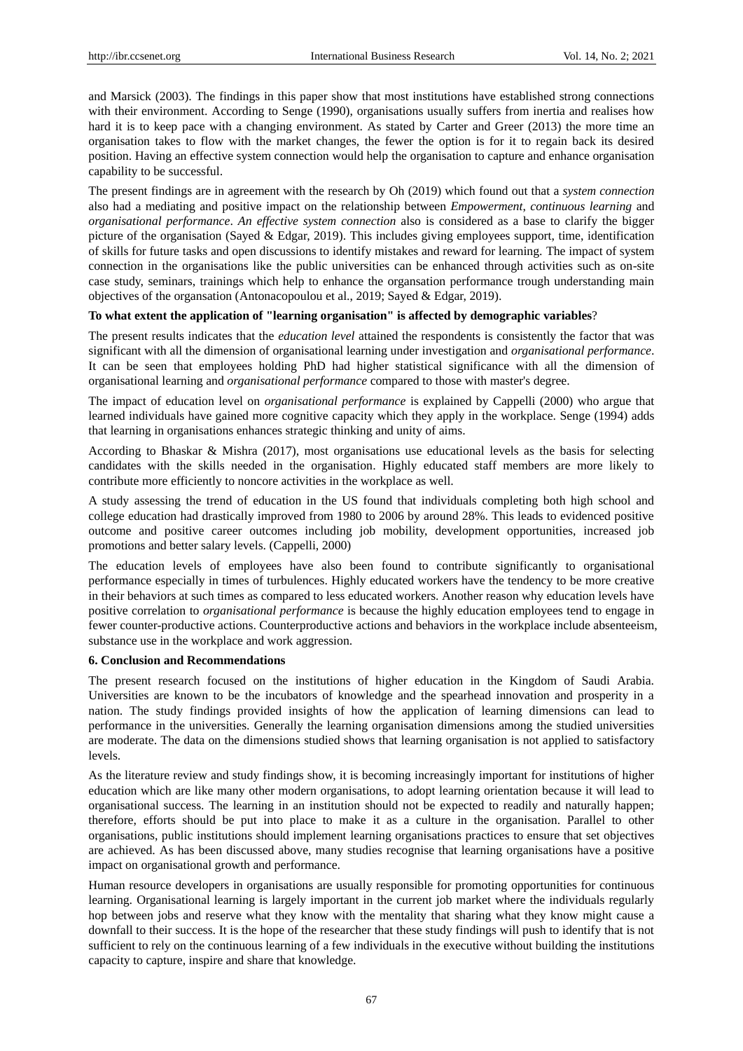and Marsick (2003). The findings in this paper show that most institutions have established strong connections with their environment. According to Senge (1990), organisations usually suffers from inertia and realises how hard it is to keep pace with a changing environment. As stated by Carter and Greer (2013) the more time an organisation takes to flow with the market changes, the fewer the option is for it to regain back its desired position. Having an effective system connection would help the organisation to capture and enhance organisation capability to be successful.

The present findings are in agreement with the research by Oh (2019) which found out that a *system connection* also had a mediating and positive impact on the relationship between *Empowerment*, *continuous learning* and *organisational performance*. *An effective system connection* also is considered as a base to clarify the bigger picture of the organisation (Sayed & Edgar, 2019). This includes giving employees support, time, identification of skills for future tasks and open discussions to identify mistakes and reward for learning. The impact of system connection in the organisations like the public universities can be enhanced through activities such as on-site case study, seminars, trainings which help to enhance the organsation performance trough understanding main objectives of the organsation (Antonacopoulou et al., 2019; Sayed & Edgar, 2019).

# **To what extent the application of "learning organisation" is affected by demographic variables**?

The present results indicates that the *education level* attained the respondents is consistently the factor that was significant with all the dimension of organisational learning under investigation and *organisational performance*. It can be seen that employees holding PhD had higher statistical significance with all the dimension of organisational learning and *organisational performance* compared to those with master's degree.

The impact of education level on *organisational performance* is explained by Cappelli (2000) who argue that learned individuals have gained more cognitive capacity which they apply in the workplace. Senge (1994) adds that learning in organisations enhances strategic thinking and unity of aims.

According to Bhaskar & Mishra (2017), most organisations use educational levels as the basis for selecting candidates with the skills needed in the organisation. Highly educated staff members are more likely to contribute more efficiently to noncore activities in the workplace as well.

A study assessing the trend of education in the US found that individuals completing both high school and college education had drastically improved from 1980 to 2006 by around 28%. This leads to evidenced positive outcome and positive career outcomes including job mobility, development opportunities, increased job promotions and better salary levels. (Cappelli, 2000)

The education levels of employees have also been found to contribute significantly to organisational performance especially in times of turbulences. Highly educated workers have the tendency to be more creative in their behaviors at such times as compared to less educated workers. Another reason why education levels have positive correlation to *organisational performance* is because the highly education employees tend to engage in fewer counter-productive actions. Counterproductive actions and behaviors in the workplace include absenteeism, substance use in the workplace and work aggression.

# **6. Conclusion and Recommendations**

The present research focused on the institutions of higher education in the Kingdom of Saudi Arabia. Universities are known to be the incubators of knowledge and the spearhead innovation and prosperity in a nation. The study findings provided insights of how the application of learning dimensions can lead to performance in the universities. Generally the learning organisation dimensions among the studied universities are moderate. The data on the dimensions studied shows that learning organisation is not applied to satisfactory levels.

As the literature review and study findings show, it is becoming increasingly important for institutions of higher education which are like many other modern organisations, to adopt learning orientation because it will lead to organisational success. The learning in an institution should not be expected to readily and naturally happen; therefore, efforts should be put into place to make it as a culture in the organisation. Parallel to other organisations, public institutions should implement learning organisations practices to ensure that set objectives are achieved. As has been discussed above, many studies recognise that learning organisations have a positive impact on organisational growth and performance.

Human resource developers in organisations are usually responsible for promoting opportunities for continuous learning. Organisational learning is largely important in the current job market where the individuals regularly hop between jobs and reserve what they know with the mentality that sharing what they know might cause a downfall to their success. It is the hope of the researcher that these study findings will push to identify that is not sufficient to rely on the continuous learning of a few individuals in the executive without building the institutions capacity to capture, inspire and share that knowledge.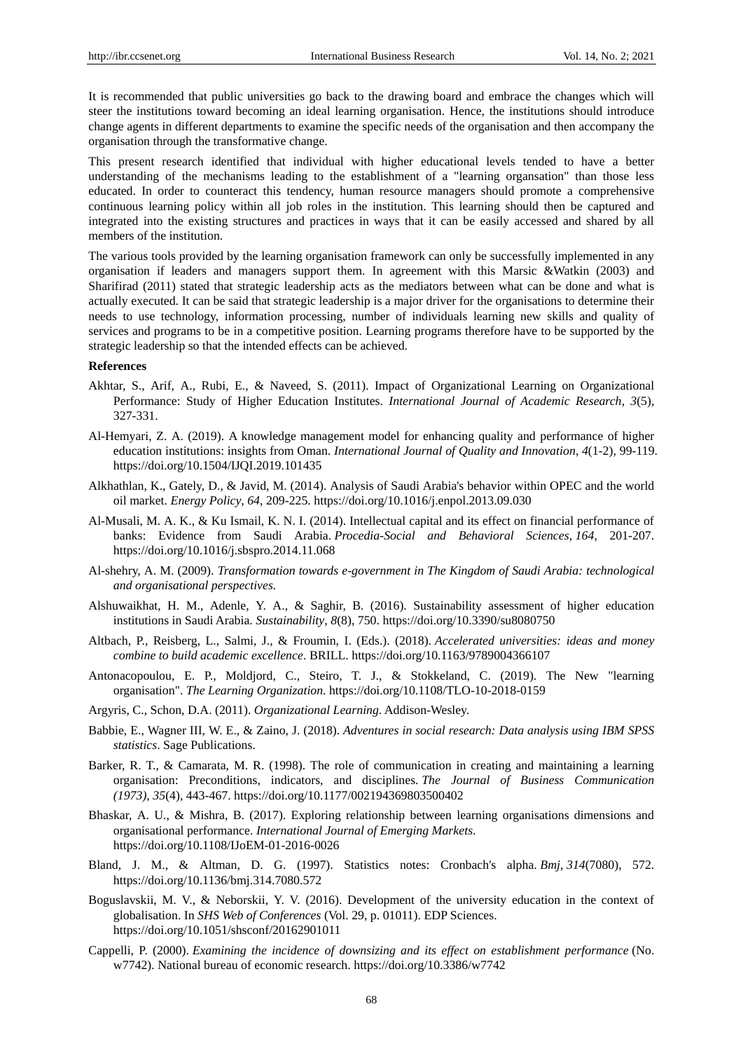It is recommended that public universities go back to the drawing board and embrace the changes which will steer the institutions toward becoming an ideal learning organisation. Hence, the institutions should introduce change agents in different departments to examine the specific needs of the organisation and then accompany the organisation through the transformative change.

This present research identified that individual with higher educational levels tended to have a better understanding of the mechanisms leading to the establishment of a "learning organsation" than those less educated. In order to counteract this tendency, human resource managers should promote a comprehensive continuous learning policy within all job roles in the institution. This learning should then be captured and integrated into the existing structures and practices in ways that it can be easily accessed and shared by all members of the institution.

The various tools provided by the learning organisation framework can only be successfully implemented in any organisation if leaders and managers support them. In agreement with this Marsic &Watkin (2003) and Sharifirad (2011) stated that strategic leadership acts as the mediators between what can be done and what is actually executed. It can be said that strategic leadership is a major driver for the organisations to determine their needs to use technology, information processing, number of individuals learning new skills and quality of services and programs to be in a competitive position. Learning programs therefore have to be supported by the strategic leadership so that the intended effects can be achieved.

### **References**

- Akhtar, S., Arif, A., Rubi, E., & Naveed, S. (2011). Impact of Organizational Learning on Organizational Performance: Study of Higher Education Institutes. *International Journal of Academic Research*, *3*(5), 327-331.
- Al-Hemyari, Z. A. (2019). A knowledge management model for enhancing quality and performance of higher education institutions: insights from Oman. *International Journal of Quality and Innovation*, *4*(1-2), 99-119. https://doi.org/10.1504/IJQI.2019.101435
- Alkhathlan, K., Gately, D., & Javid, M. (2014). Analysis of Saudi Arabia's behavior within OPEC and the world oil market. *Energy Policy*, *64*, 209-225. https://doi.org/10.1016/j.enpol.2013.09.030
- Al-Musali, M. A. K., & Ku Ismail, K. N. I. (2014). Intellectual capital and its effect on financial performance of banks: Evidence from Saudi Arabia. *Procedia-Social and Behavioral Sciences*, *164*, 201-207. https://doi.org/10.1016/j.sbspro.2014.11.068
- Al-shehry, A. M. (2009). *Transformation towards e-government in The Kingdom of Saudi Arabia: technological and organisational perspectives.*
- Alshuwaikhat, H. M., Adenle, Y. A., & Saghir, B. (2016). Sustainability assessment of higher education institutions in Saudi Arabia. *Sustainability*, *8*(8), 750. https://doi.org/10.3390/su8080750
- Altbach, P., Reisberg, L., Salmi, J., & Froumin, I. (Eds.). (2018). *Accelerated universities: ideas and money combine to build academic excellence*. BRILL. https://doi.org/10.1163/9789004366107
- Antonacopoulou, E. P., Moldjord, C., Steiro, T. J., & Stokkeland, C. (2019). The New "learning organisation". *The Learning Organization*. https://doi.org/10.1108/TLO-10-2018-0159
- Argyris, C., Schon, D.A. (2011). *Organizational Learning*. Addison-Wesley.
- Babbie, E., Wagner III, W. E., & Zaino, J. (2018). *Adventures in social research: Data analysis using IBM SPSS statistics*. Sage Publications.
- Barker, R. T., & Camarata, M. R. (1998). The role of communication in creating and maintaining a learning organisation: Preconditions, indicators, and disciplines. *The Journal of Business Communication (1973)*, *35*(4), 443-467. https://doi.org/10.1177/002194369803500402
- Bhaskar, A. U., & Mishra, B. (2017). Exploring relationship between learning organisations dimensions and organisational performance. *International Journal of Emerging Markets*. https://doi.org/10.1108/IJoEM-01-2016-0026
- Bland, J. M., & Altman, D. G. (1997). Statistics notes: Cronbach's alpha. *Bmj*, *314*(7080), 572. https://doi.org/10.1136/bmj.314.7080.572
- Boguslavskii, M. V., & Neborskii, Y. V. (2016). Development of the university education in the context of globalisation. In *SHS Web of Conferences* (Vol. 29, p. 01011). EDP Sciences. https://doi.org/10.1051/shsconf/20162901011
- Cappelli, P. (2000). *Examining the incidence of downsizing and its effect on establishment performance* (No. w7742). National bureau of economic research. https://doi.org/10.3386/w7742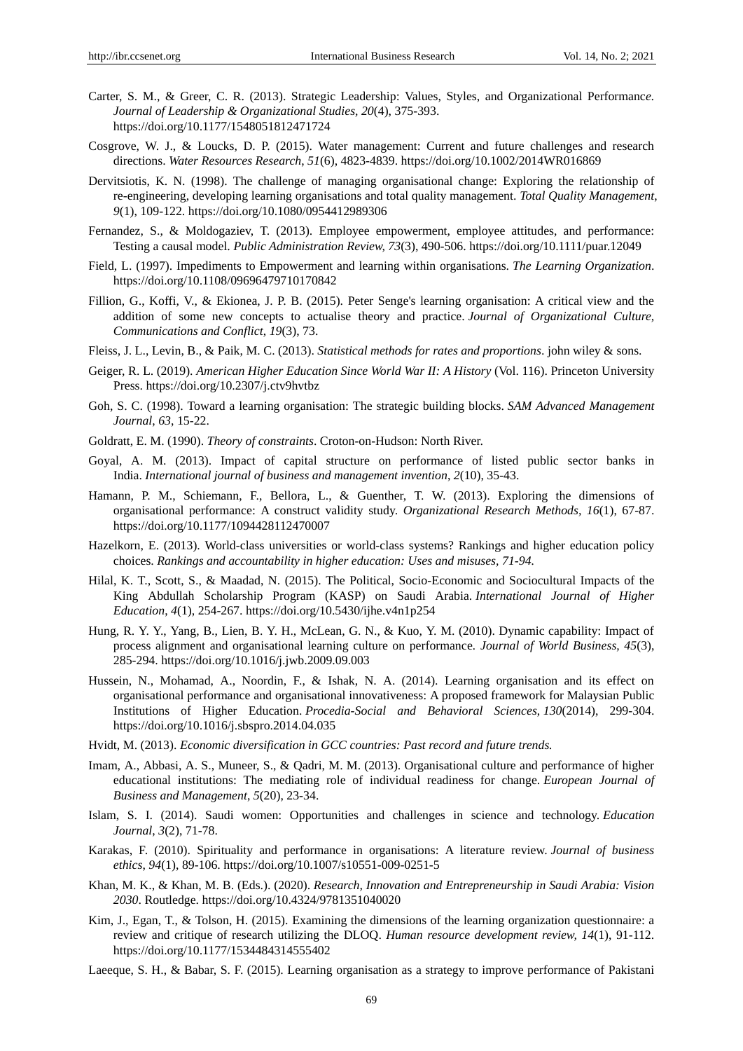- Carter, S. M., & Greer, C. R. (2013). Strategic Leadership: Values, Styles, and Organizational Performanc*e. Journal of Leadership & Organizational Studies, 20*(4), 375-393. https://doi.org/10.1177/1548051812471724
- Cosgrove, W. J., & Loucks, D. P. (2015). Water management: Current and future challenges and research directions. *Water Resources Research*, *51*(6), 4823-4839. https://doi.org/10.1002/2014WR016869
- Dervitsiotis, K. N. (1998). The challenge of managing organisational change: Exploring the relationship of re-engineering, developing learning organisations and total quality management. *Total Quality Management*, *9*(1), 109-122. https://doi.org/10.1080/0954412989306
- Fernandez, S., & Moldogaziev, T. (2013). Employee empowerment, employee attitudes, and performance: Testing a causal model. *Public Administration Review, 73*(3), 490-506. https://doi.org/10.1111/puar.12049
- Field, L. (1997). Impediments to Empowerment and learning within organisations. *The Learning Organization*. https://doi.org/10.1108/09696479710170842
- Fillion, G., Koffi, V., & Ekionea, J. P. B. (2015). Peter Senge's learning organisation: A critical view and the addition of some new concepts to actualise theory and practice. *Journal of Organizational Culture, Communications and Conflict*, *19*(3), 73.
- Fleiss, J. L., Levin, B., & Paik, M. C. (2013). *Statistical methods for rates and proportions*. john wiley & sons.
- Geiger, R. L. (2019). *American Higher Education Since World War II: A History* (Vol. 116). Princeton University Press. https://doi.org/10.2307/j.ctv9hvtbz
- Goh, S. C. (1998). Toward a learning organisation: The strategic building blocks. *SAM Advanced Management Journal*, *63*, 15-22.
- Goldratt, E. M. (1990). *Theory of constraints*. Croton-on-Hudson: North River.
- Goyal, A. M. (2013). Impact of capital structure on performance of listed public sector banks in India. *International journal of business and management invention*, *2*(10), 35-43.
- Hamann, P. M., Schiemann, F., Bellora, L., & Guenther, T. W. (2013). Exploring the dimensions of organisational performance: A construct validity study. *Organizational Research Methods, 16*(1), 67-87. https://doi.org/10.1177/1094428112470007
- Hazelkorn, E. (2013). World-class universities or world-class systems? Rankings and higher education policy choices. *Rankings and accountability in higher education: Uses and misuses, 71-94.*
- Hilal, K. T., Scott, S., & Maadad, N. (2015). The Political, Socio-Economic and Sociocultural Impacts of the King Abdullah Scholarship Program (KASP) on Saudi Arabia. *International Journal of Higher Education*, *4*(1), 254-267. https://doi.org/10.5430/ijhe.v4n1p254
- Hung, R. Y. Y., Yang, B., Lien, B. Y. H., McLean, G. N., & Kuo, Y. M. (2010). Dynamic capability: Impact of process alignment and organisational learning culture on performance*. Journal of World Business, 45*(3), 285-294. https://doi.org/10.1016/j.jwb.2009.09.003
- Hussein, N., Mohamad, A., Noordin, F., & Ishak, N. A. (2014). Learning organisation and its effect on organisational performance and organisational innovativeness: A proposed framework for Malaysian Public Institutions of Higher Education. *Procedia-Social and Behavioral Sciences*, *130*(2014), 299-304. https://doi.org/10.1016/j.sbspro.2014.04.035
- Hvidt, M. (2013). *Economic diversification in GCC countries: Past record and future trends.*
- Imam, A., Abbasi, A. S., Muneer, S., & Qadri, M. M. (2013). Organisational culture and performance of higher educational institutions: The mediating role of individual readiness for change. *European Journal of Business and Management*, *5*(20), 23-34.
- Islam, S. I. (2014). Saudi women: Opportunities and challenges in science and technology. *Education Journal*, *3*(2), 71-78.
- Karakas, F. (2010). Spirituality and performance in organisations: A literature review. *Journal of business ethics*, *94*(1), 89-106. https://doi.org/10.1007/s10551-009-0251-5
- Khan, M. K., & Khan, M. B. (Eds.). (2020). *Research, Innovation and Entrepreneurship in Saudi Arabia: Vision 2030*. Routledge. https://doi.org/10.4324/9781351040020
- Kim, J., Egan, T., & Tolson, H. (2015). Examining the dimensions of the learning organization questionnaire: a review and critique of research utilizing the DLOQ. *Human resource development review, 14*(1), 91-112. https://doi.org/10.1177/1534484314555402
- Laeeque, S. H., & Babar, S. F. (2015). Learning organisation as a strategy to improve performance of Pakistani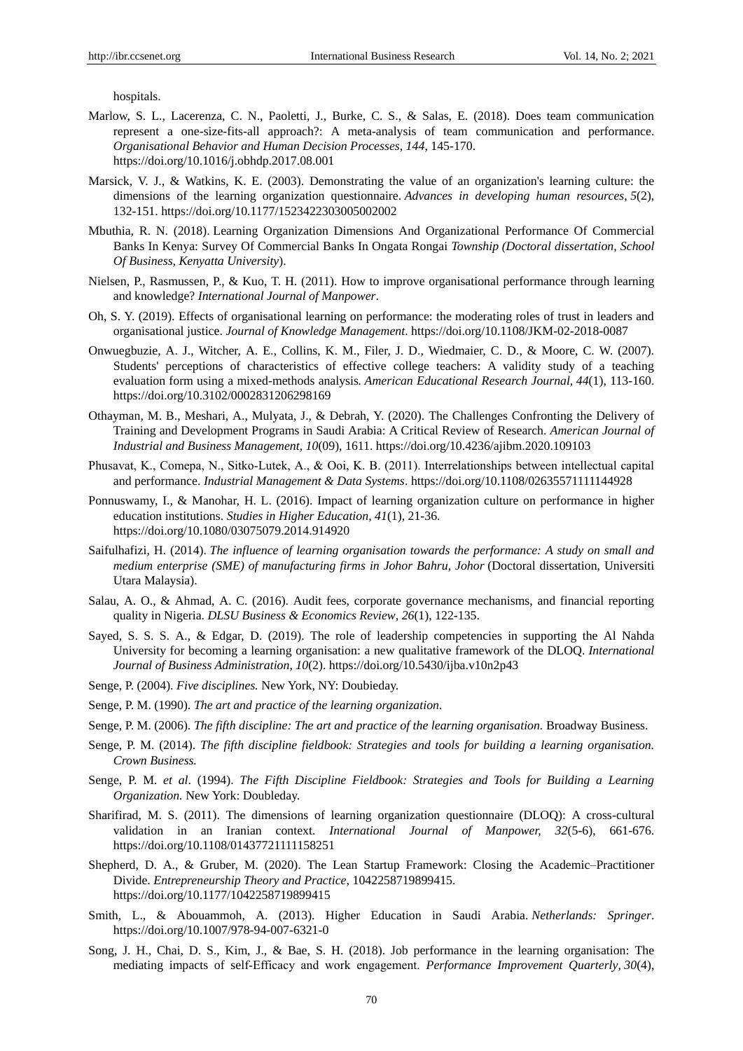hospitals.

- Marlow, S. L., Lacerenza, C. N., Paoletti, J., Burke, C. S., & Salas, E. (2018). Does team communication represent a one-size-fits-all approach?: A meta-analysis of team communication and performance. *Organisational Behavior and Human Decision Processes*, *144*, 145-170. https://doi.org/10.1016/j.obhdp.2017.08.001
- Marsick, V. J., & Watkins, K. E. (2003). Demonstrating the value of an organization's learning culture: the dimensions of the learning organization questionnaire. *Advances in developing human resources*, *5*(2), 132-151. https://doi.org/10.1177/1523422303005002002
- Mbuthia, R. N. (2018). Learning Organization Dimensions And Organizational Performance Of Commercial Banks In Kenya: Survey Of Commercial Banks In Ongata Rongai *Township (Doctoral dissertation, School Of Business, Kenyatta University*).
- Nielsen, P., Rasmussen, P., & Kuo, T. H. (2011). How to improve organisational performance through learning and knowledge? *International Journal of Manpower*.
- Oh, S. Y. (2019). Effects of organisational learning on performance: the moderating roles of trust in leaders and organisational justice. *Journal of Knowledge Management*. https://doi.org/10.1108/JKM-02-2018-0087
- Onwuegbuzie, A. J., Witcher, A. E., Collins, K. M., Filer, J. D., Wiedmaier, C. D., & Moore, C. W. (2007). Students' perceptions of characteristics of effective college teachers: A validity study of a teaching evaluation form using a mixed-methods analysis*. American Educational Research Journal, 44*(1), 113-160. https://doi.org/10.3102/0002831206298169
- Othayman, M. B., Meshari, A., Mulyata, J., & Debrah, Y. (2020). The Challenges Confronting the Delivery of Training and Development Programs in Saudi Arabia: A Critical Review of Research. *American Journal of Industrial and Business Management, 10*(09), 1611. https://doi.org/10.4236/ajibm.2020.109103
- Phusavat, K., Comepa, N., Sitko‐Lutek, A., & Ooi, K. B. (2011). Interrelationships between intellectual capital and performance. *Industrial Management & Data Systems*. https://doi.org/10.1108/02635571111144928
- Ponnuswamy, I., & Manohar, H. L. (2016). Impact of learning organization culture on performance in higher education institutions. *Studies in Higher Education, 41*(1), 21-36. https://doi.org/10.1080/03075079.2014.914920
- Saifulhafizi, H. (2014). *The influence of learning organisation towards the performance: A study on small and medium enterprise (SME) of manufacturing firms in Johor Bahru, Johor* (Doctoral dissertation, Universiti Utara Malaysia).
- Salau, A. O., & Ahmad, A. C. (2016). Audit fees, corporate governance mechanisms, and financial reporting quality in Nigeria. *DLSU Business & Economics Review*, *26*(1), 122-135.
- Sayed, S. S. S. A., & Edgar, D. (2019). The role of leadership competencies in supporting the Al Nahda University for becoming a learning organisation: a new qualitative framework of the DLOQ. *International Journal of Business Administration*, *10*(2). https://doi.org/10.5430/ijba.v10n2p43
- Senge, P. (2004). *Five disciplines.* New York, NY: Doubieday.
- Senge, P. M. (1990). *The art and practice of the learning organization*.
- Senge, P. M. (2006). *The fifth discipline: The art and practice of the learning organisation.* Broadway Business.
- Senge, P. M. (2014). *The fifth discipline fieldbook: Strategies and tools for building a learning organisation. Crown Business.*
- Senge, P. M. *et al*. (1994). *The Fifth Discipline Fieldbook: Strategies and Tools for Building a Learning Organization.* New York: Doubleday.
- Sharifirad, M. S. (2011). The dimensions of learning organization questionnaire (DLOQ): A cross-cultural validation in an Iranian context. *International Journal of Manpower, 32*(5-6), 661-676. https://doi.org/10.1108/01437721111158251
- Shepherd, D. A., & Gruber, M. (2020). The Lean Startup Framework: Closing the Academic–Practitioner Divide. *Entrepreneurship Theory and Practice*, 1042258719899415. https://doi.org/10.1177/1042258719899415
- Smith, L., & Abouammoh, A. (2013). Higher Education in Saudi Arabia. *Netherlands: Springer*. https://doi.org/10.1007/978-94-007-6321-0
- Song, J. H., Chai, D. S., Kim, J., & Bae, S. H. (2018). Job performance in the learning organisation: The mediating impacts of self‐Efficacy and work engagement. *Performance Improvement Quarterly*, *30*(4),